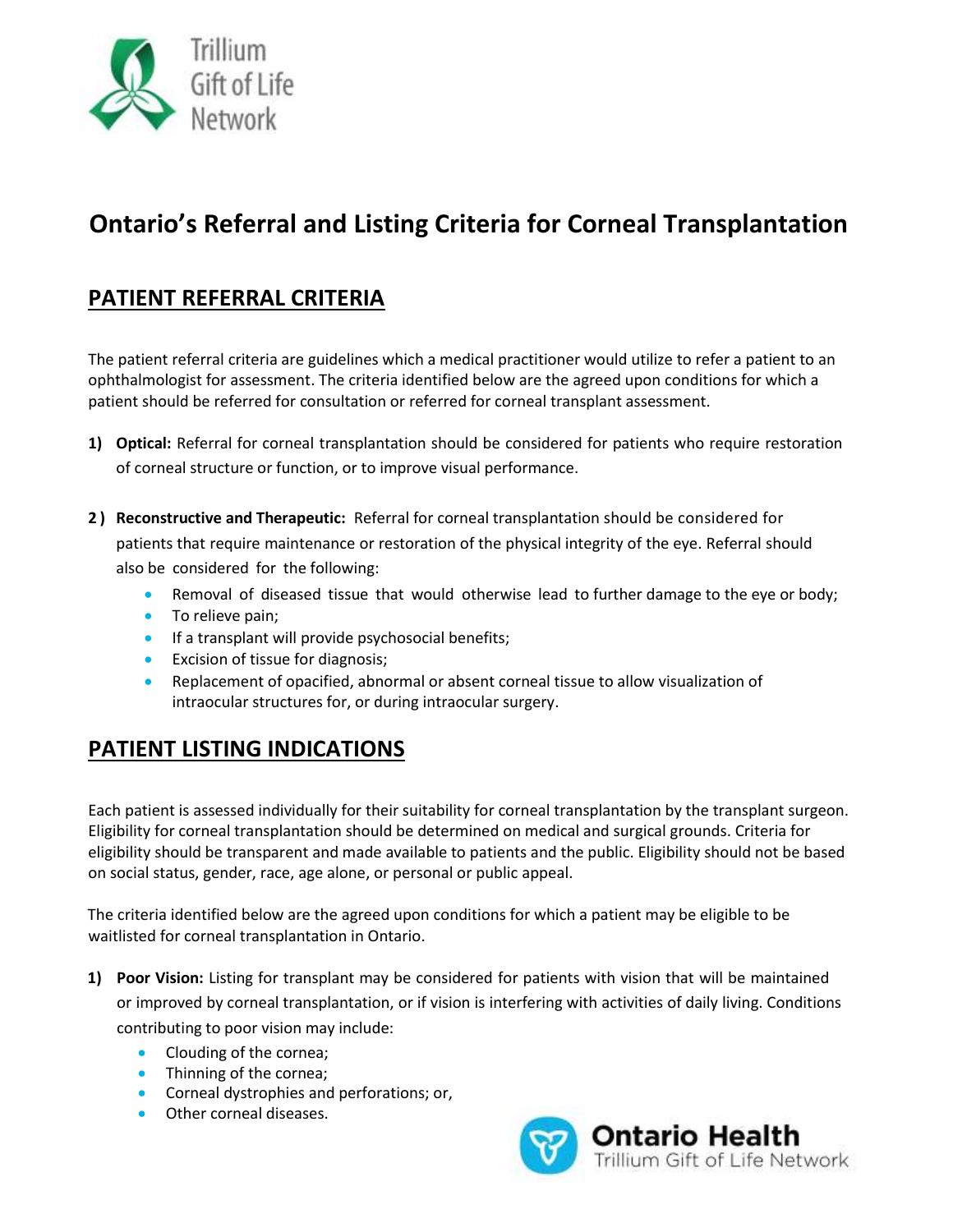

# **Ontario's Referral and Listing Criteria for Corneal Transplantation**

### **PATIENT REFERRAL CRITERIA**

The patient referral criteria are guidelines which a medical practitioner would utilize to refer a patient to an ophthalmologist for assessment. The criteria identified below are the agreed upon conditions for which a patient should be referred for consultation or referred for corneal transplant assessment.

- **1) Optical:** Referral for corneal transplantation should be considered for patients who require restoration of corneal structure or function, or to improve visual performance.
- **2 ) Reconstructive and Therapeutic:** Referral for corneal transplantation should be considered for patients that require maintenance or restoration of the physical integrity of the eye. Referral should also be considered for the following:
	- Removal of diseased tissue that would otherwise lead to further damage to the eye or body;
	- To relieve pain;
	- **If a transplant will provide psychosocial benefits;**
	- **Excision of tissue for diagnosis;**
	- Replacement of opacified, abnormal or absent corneal tissue to allow visualization of intraocular structures for, or during intraocular surgery.

#### **PATIENT LISTING INDICATIONS**

Each patient is assessed individually for their suitability for corneal transplantation by the transplant surgeon. Eligibility for corneal transplantation should be determined on medical and surgical grounds. Criteria for eligibility should be transparent and made available to patients and the public. Eligibility should not be based on social status, gender, race, age alone, or personal or public appeal.

The criteria identified below are the agreed upon conditions for which a patient may be eligible to be waitlisted for corneal transplantation in Ontario.

- **1) Poor Vision:** Listing for transplant may be considered for patients with vision that will be maintained or improved by corneal transplantation, or if vision is interfering with activities of daily living. Conditions contributing to poor vision may include:
	- Clouding of the cornea;
	- Thinning of the cornea;
	- **•** Corneal dystrophies and perforations; or,
	- Other corneal diseases.

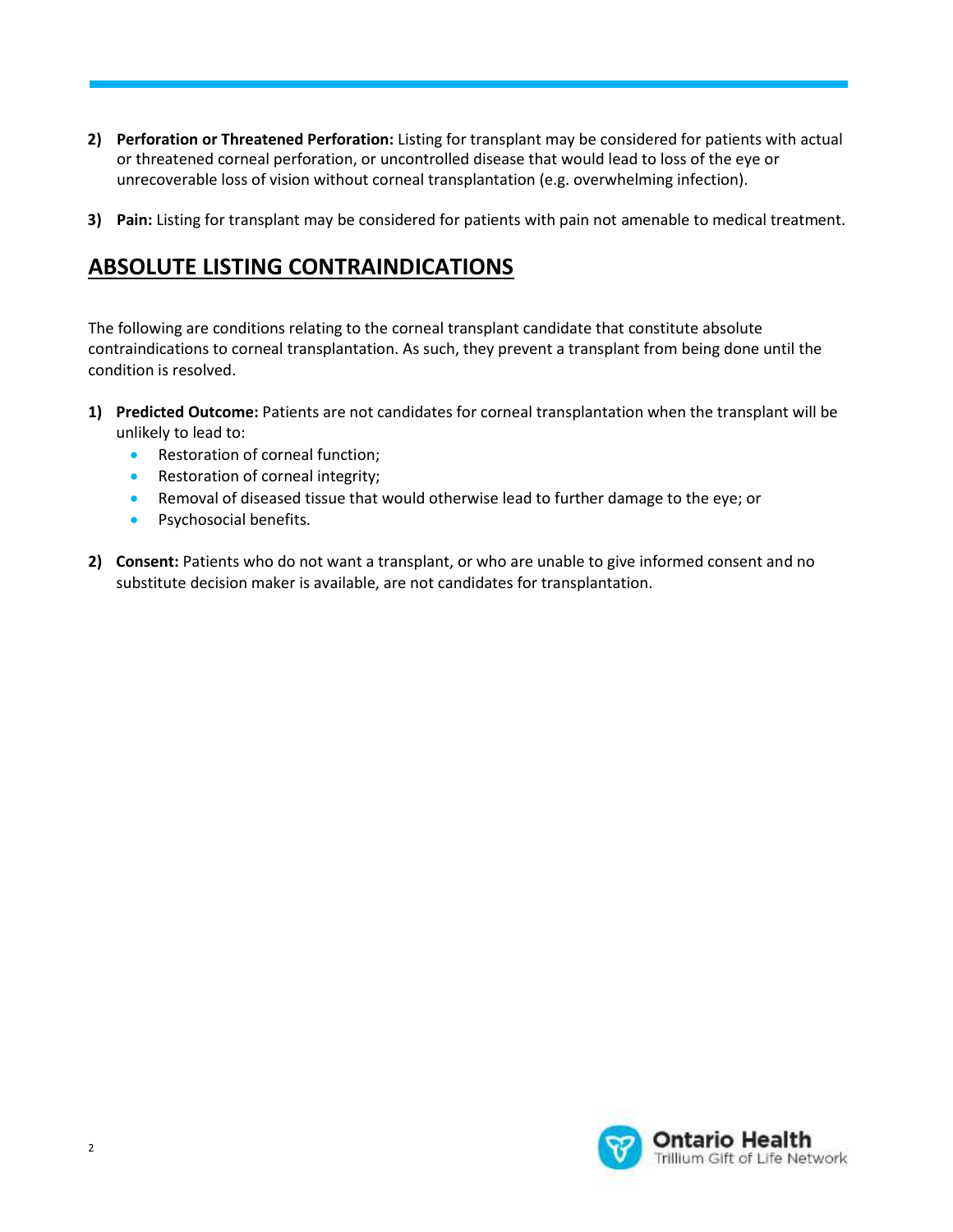**TRANSPLANTATION 2) Perforation or Threatened Perforation:** Listing for transplant may be considered for patients with actual or threatened corneal perforation, or uncontrolled disease that would lead to loss of the eye or unrecoverable loss of vision without corneal transplantation (e.g. overwhelming infection).

**ADULT INTESTINE REFERRAL AND LISTING CRITERIA FOR INTESTINE** 

**3) Pain:** Listing for transplant may be considered for patients with pain not amenable to medical treatment.

## **ABSOLUTE LISTING CONTRAINDICATIONS**

The following are conditions relating to the corneal transplant candidate that constitute absolute contraindications to corneal transplantation. As such, they prevent a transplant from being done until the condition is resolved.

- **1) Predicted Outcome:** Patients are not candidates for corneal transplantation when the transplant will be unlikely to lead to:
	- Restoration of corneal function;
	- Restoration of corneal integrity;
	- Removal of diseased tissue that would otherwise lead to further damage to the eye; or
	- **•** Psychosocial benefits.
- **2) Consent:** Patients who do not want a transplant, or who are unable to give informed consent and no substitute decision maker is available, are not candidates for transplantation.